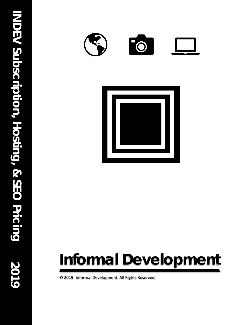



# **Informal Development**

© 2019 Informal Development. All Rights Reserved.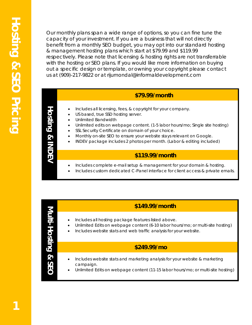Our monthly plans span a wide range of options, so you can fine tune the capacity of your investment. If you are a business that will not directly benefit from a monthly SEO budget, you may opt into our standard hosting & management hosting plans which start at \$79.99 and \$119.99 respectively. Please note that licensing & hosting rights are not transferrable with the hosting or SEO plans. If you would like more information on buying out a specific design or template, or owning your copyright please contact us at (909)-217-9822 or at rijumondal@informaldevelopment.com

# **\$79.99/month**

- Includes all licensing, fees, & copyright for your company.
- US based, true SSD hosting server.
- Unlimited Bandwidth
- Unlimited edits on webpage content. (1-5 labor hours/mo; Single site hosting)
- SSL Security Certificate on domain of your choice.
- Monthly on-site SEO to ensure your website stays relevant on Google.
- INDEV package includes 2 photos per month. (Labor & editing included)

#### **\$119.99/month**

- Includes complete e-mail setup & management for your domain & hosting.
- Includes custom dedicated C-Panel interface for client access & private emails.

# **Multi-Hosting & SEO** Multi-Hosting & SE

**Hosting**

**& INDEV**

## **\$149.99/month**

- Includes all hosting package features listed above.
- Unlimited Edits on webpage content (6-10 labor hours/mo; or multi-site hosting)
- Includes website stats and web traffic analysis for your website.

#### • Includes \$75/mo. budget for SEO, AdWords, or other marketing materials. **\$249.99/mo**

- Includes website stats and marketing analysis for your website & marketing campaign.
- Unlimited Edits on webpage content (11-15 labor hours/mo; or multi-site hosting)